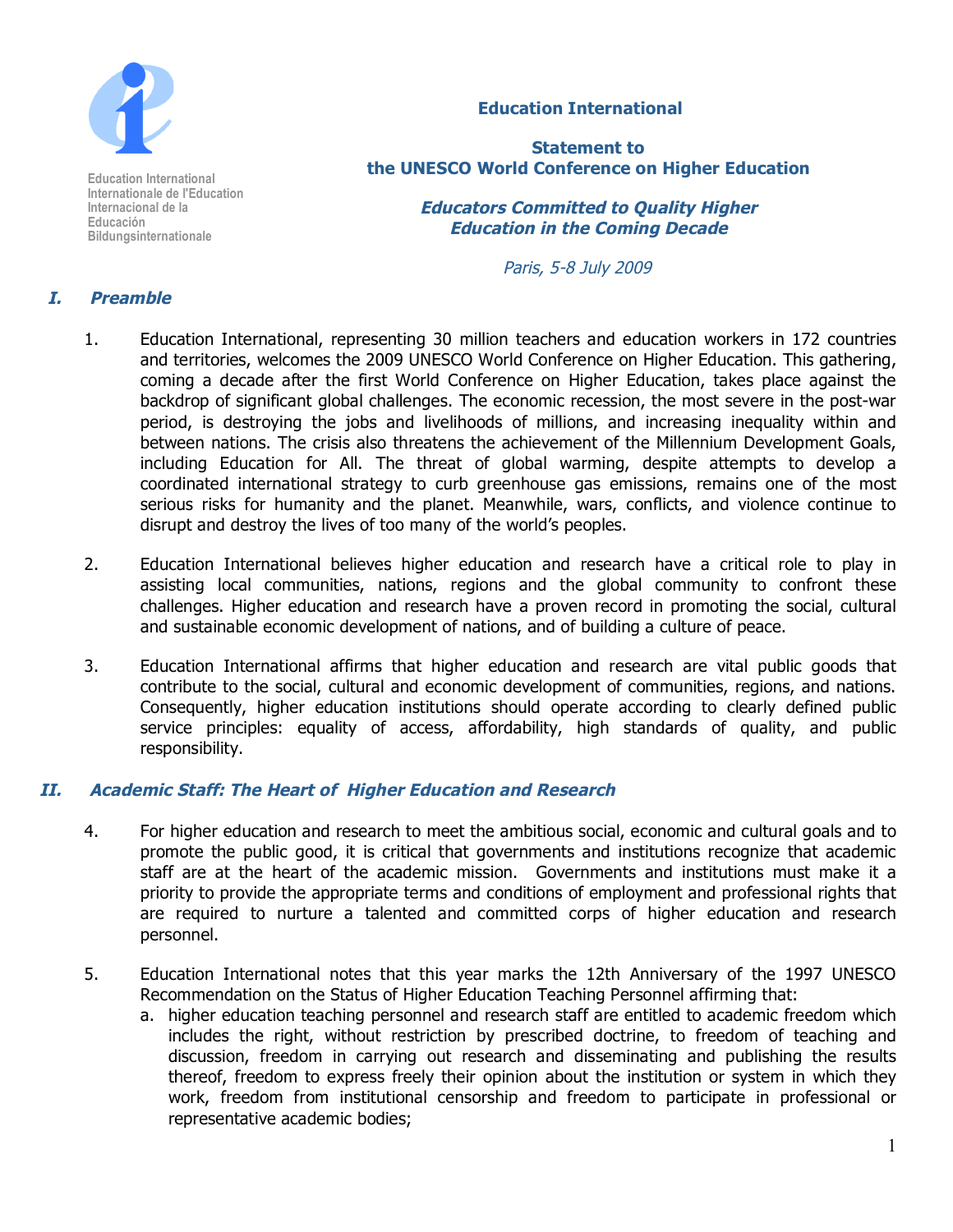

**Education International Internationale de l'Education Internacional de la Educación Bildungsinternationale**

# **Education International**

**Statement to the UNESCO World Conference on Higher Education**

> **Educators Committed to Quality Higher Education in the Coming Decade**

> > Paris, 5-8 July 2009

# **I. Preamble**

- 1. Education International, representing 30 million teachers and education workers in 172 countries and territories, welcomes the 2009 UNESCO World Conference on Higher Education. This gathering, coming a decade after the first World Conference on Higher Education, takes place against the backdrop of significant global challenges. The economic recession, the most severe in the post-war period, is destroying the jobs and livelihoods of millions, and increasing inequality within and between nations. The crisis also threatens the achievement of the Millennium Development Goals, including Education for All. The threat of global warming, despite attempts to develop a coordinated international strategy to curb greenhouse gas emissions, remains one of the most serious risks for humanity and the planet. Meanwhile, wars, conflicts, and violence continue to disrupt and destroy the lives of too many of the world's peoples.
- 2. Education International believes higher education and research have a critical role to play in assisting local communities, nations, regions and the global community to confront these challenges. Higher education and research have a proven record in promoting the social, cultural and sustainable economic development of nations, and of building a culture of peace.
- 3. Education International affirms that higher education and research are vital public goods that contribute to the social, cultural and economic development of communities, regions, and nations. Consequently, higher education institutions should operate according to clearly defined public service principles: equality of access, affordability, high standards of quality, and public responsibility.

## **II. Academic Staff: The Heart of Higher Education and Research**

- 4. For higher education and research to meet the ambitious social, economic and cultural goals and to promote the public good, it is critical that governments and institutions recognize that academic staff are at the heart of the academic mission. Governments and institutions must make it a priority to provide the appropriate terms and conditions of employment and professional rights that are required to nurture a talented and committed corps of higher education and research personnel.
- 5. Education International notes that this year marks the 12th Anniversary of the 1997 UNESCO Recommendation on the Status of Higher Education Teaching Personnel affirming that:
	- a. higher education teaching personnel and research staff are entitled to academic freedom which includes the right, without restriction by prescribed doctrine, to freedom of teaching and discussion, freedom in carrying out research and disseminating and publishing the results thereof, freedom to express freely their opinion about the institution or system in which they work, freedom from institutional censorship and freedom to participate in professional or representative academic bodies;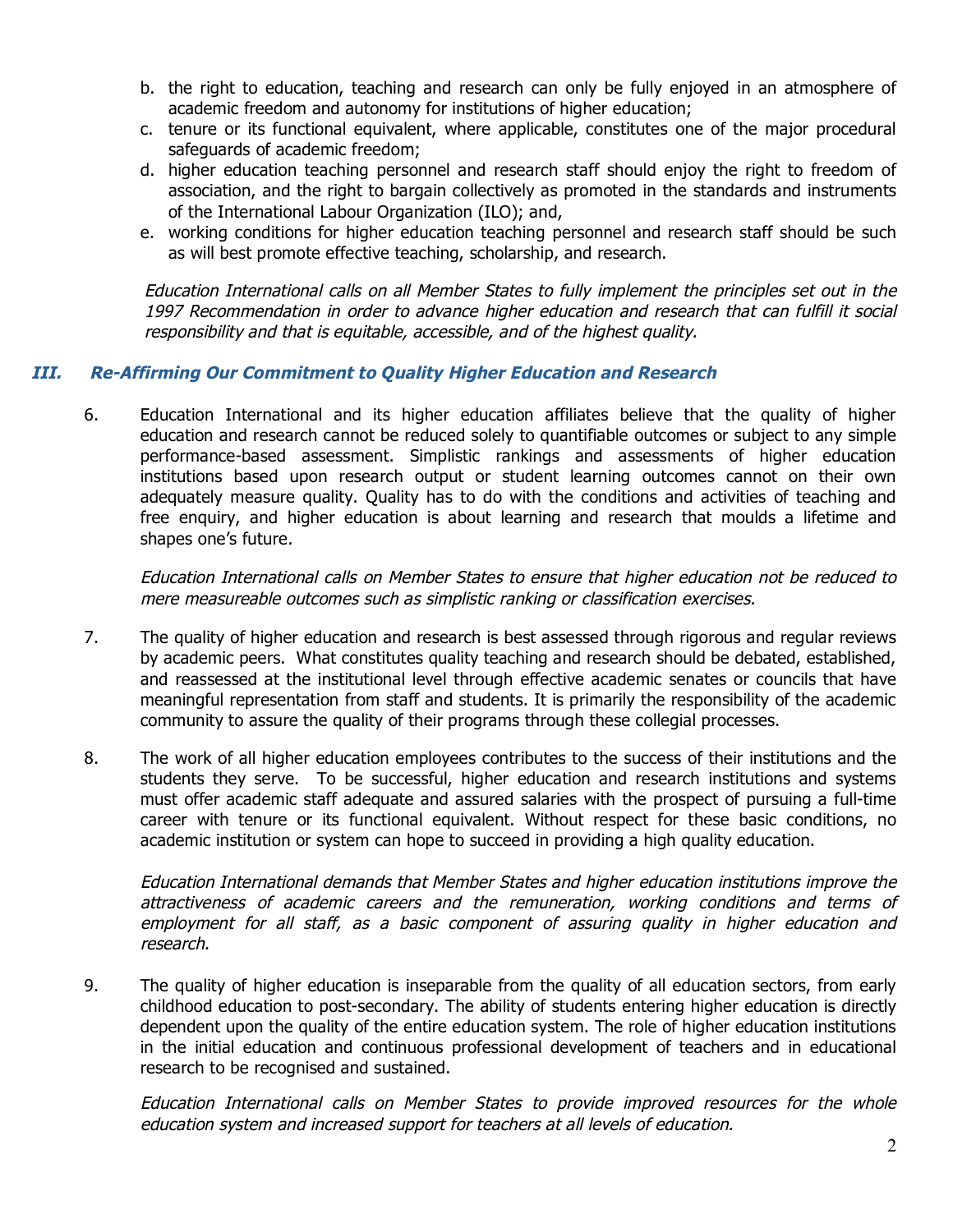- b. the right to education, teaching and research can only be fully enjoyed in an atmosphere of academic freedom and autonomy for institutions of higher education;
- c. tenure or its functional equivalent, where applicable, constitutes one of the major procedural safeguards of academic freedom;
- d. higher education teaching personnel and research staff should enjoy the right to freedom of association, and the right to bargain collectively as promoted in the standards and instruments of the International Labour Organization (ILO); and,
- e. working conditions for higher education teaching personnel and research staff should be such as will best promote effective teaching, scholarship, and research.

Education International calls on all Member States to fully implement the principles set out in the 1997 Recommendation in order to advance higher education and research that can fulfill it social responsibility and that is equitable, accessible, and of the highest quality.

# **III. Re-Affirming Our Commitment to Quality Higher Education and Research**

6. Education International and its higher education affiliates believe that the quality of higher education and research cannot be reduced solely to quantifiable outcomes or subject to any simple performance-based assessment. Simplistic rankings and assessments of higher education institutions based upon research output or student learning outcomes cannot on their own adequately measure quality. Quality has to do with the conditions and activities of teaching and free enquiry, and higher education is about learning and research that moulds a lifetime and shapes one's future.

Education International calls on Member States to ensure that higher education not be reduced to mere measureable outcomes such as simplistic ranking or classification exercises.

- 7. The quality of higher education and research is best assessed through rigorous and regular reviews by academic peers. What constitutes quality teaching and research should be debated, established, and reassessed at the institutional level through effective academic senates or councils that have meaningful representation from staff and students. It is primarily the responsibility of the academic community to assure the quality of their programs through these collegial processes.
- 8. The work of all higher education employees contributes to the success of their institutions and the students they serve. To be successful, higher education and research institutions and systems must offer academic staff adequate and assured salaries with the prospect of pursuing a full-time career with tenure or its functional equivalent. Without respect for these basic conditions, no academic institution or system can hope to succeed in providing a high quality education.

Education International demands that Member States and higher education institutions improve the attractiveness of academic careers and the remuneration, working conditions and terms of employment for all staff, as a basic component of assuring quality in higher education and research.

9. The quality of higher education is inseparable from the quality of all education sectors, from early childhood education to post-secondary. The ability of students entering higher education is directly dependent upon the quality of the entire education system. The role of higher education institutions in the initial education and continuous professional development of teachers and in educational research to be recognised and sustained.

Education International calls on Member States to provide improved resources for the whole education system and increased support for teachers at all levels of education.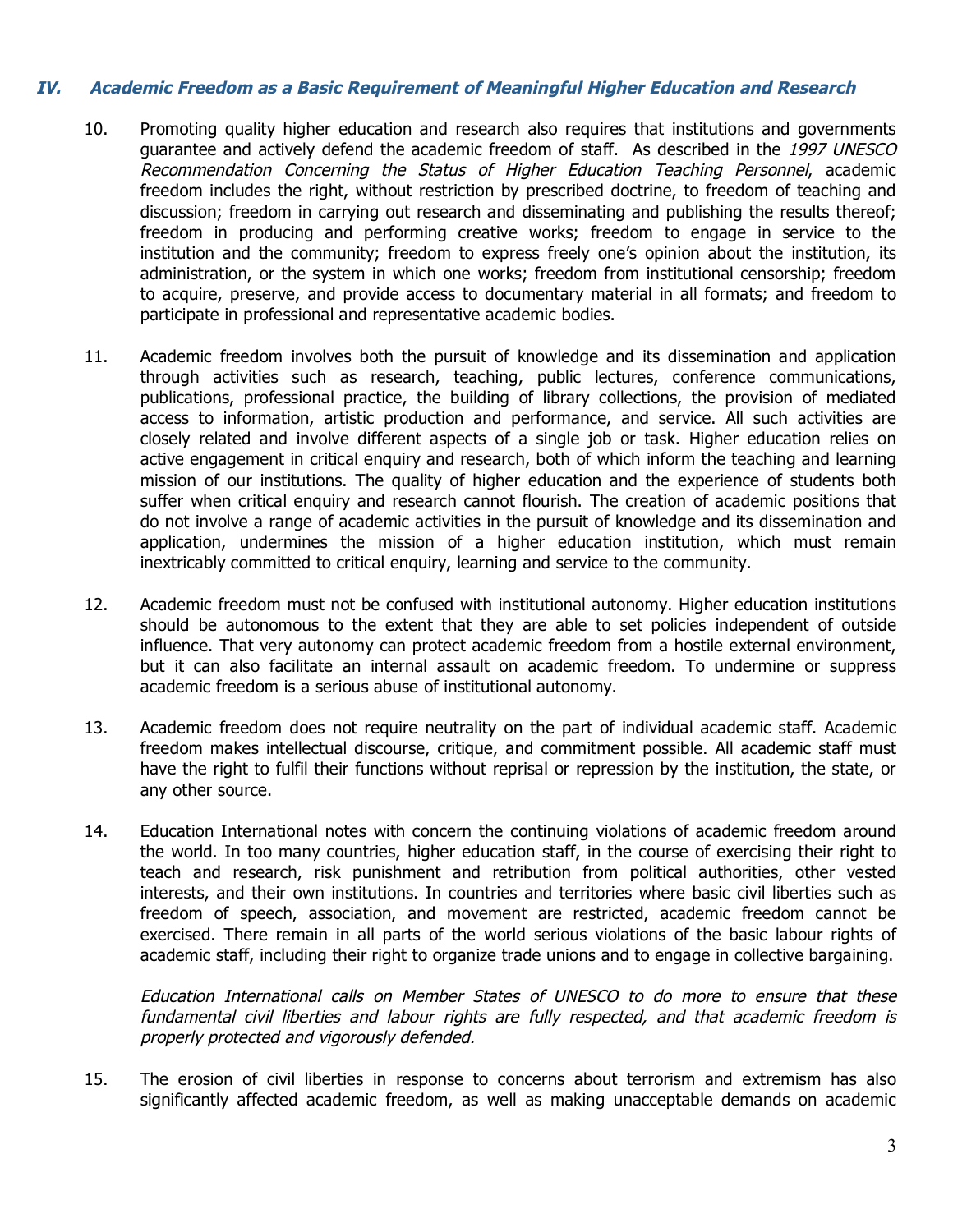# **IV. Academic Freedom as <sup>a</sup> Basic Requirement of Meaningful Higher Education and Research**

- 10. Promoting quality higher education and research also requires that institutions and governments guarantee and actively defend the academic freedom of staff. As described in the 1997 UNESCO Recommendation Concerning the Status of Higher Education Teaching Personnel, academic freedom includes the right, without restriction by prescribed doctrine, to freedom of teaching and discussion; freedom in carrying out research and disseminating and publishing the results thereof; freedom in producing and performing creative works; freedom to engage in service to the institution and the community; freedom to express freely one's opinion about the institution, its administration, or the system in which one works; freedom from institutional censorship; freedom to acquire, preserve, and provide access to documentary material in all formats; and freedom to participate in professional and representative academic bodies.
- 11. Academic freedom involves both the pursuit of knowledge and its dissemination and application through activities such as research, teaching, public lectures, conference communications, publications, professional practice, the building of library collections, the provision of mediated access to information, artistic production and performance, and service. All such activities are closely related and involve different aspects of a single job or task. Higher education relies on active engagement in critical enquiry and research, both of which inform the teaching and learning mission of our institutions. The quality of higher education and the experience of students both suffer when critical enquiry and research cannot flourish. The creation of academic positions that do not involve a range of academic activities in the pursuit of knowledge and its dissemination and application, undermines the mission of a higher education institution, which must remain inextricably committed to critical enquiry, learning and service to the community.
- 12. Academic freedom must not be confused with institutional autonomy. Higher education institutions should be autonomous to the extent that they are able to set policies independent of outside influence. That very autonomy can protect academic freedom from a hostile external environment, but it can also facilitate an internal assault on academic freedom. To undermine or suppress academic freedom is a serious abuse of institutional autonomy.
- 13. Academic freedom does not require neutrality on the part of individual academic staff. Academic freedom makes intellectual discourse, critique, and commitment possible. All academic staff must have the right to fulfil their functions without reprisal or repression by the institution, the state, or any other source.
- 14. Education International notes with concern the continuing violations of academic freedom around the world. In too many countries, higher education staff, in the course of exercising their right to teach and research, risk punishment and retribution from political authorities, other vested interests, and their own institutions. In countries and territories where basic civil liberties such as freedom of speech, association, and movement are restricted, academic freedom cannot be exercised. There remain in all parts of the world serious violations of the basic labour rights of academic staff, including their right to organize trade unions and to engage in collective bargaining.

Education International calls on Member States of UNESCO to do more to ensure that these fundamental civil liberties and labour rights are fully respected, and that academic freedom is properly protected and vigorously defended.

15. The erosion of civil liberties in response to concerns about terrorism and extremism has also significantly affected academic freedom, as well as making unacceptable demands on academic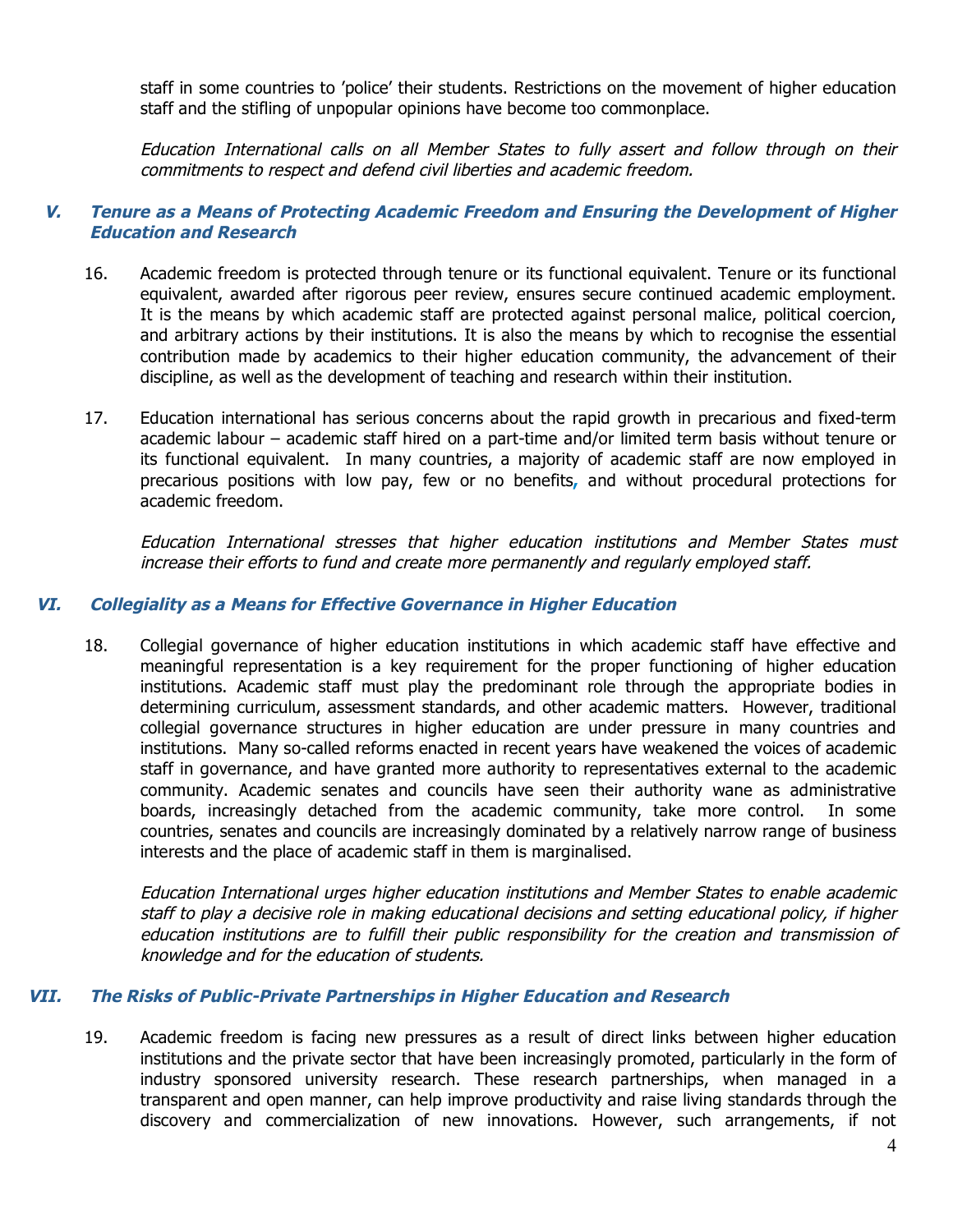staff in some countries to 'police' their students. Restrictions on the movement of higher education staff and the stifling of unpopular opinions have become too commonplace.

Education International calls on all Member States to fully assert and follow through on their commitments to respect and defend civil liberties and academic freedom.

## **V. Tenure as <sup>a</sup> Means of Protecting Academic Freedom and Ensuring the Development of Higher Education and Research**

- 16. Academic freedom is protected through tenure or its functional equivalent. Tenure or its functional equivalent, awarded after rigorous peer review, ensures secure continued academic employment. It is the means by which academic staff are protected against personal malice, political coercion, and arbitrary actions by their institutions. It is also the means by which to recognise the essential contribution made by academics to their higher education community, the advancement of their discipline, as well as the development of teaching and research within their institution.
- 17. Education international has serious concerns about the rapid growth in precarious and fixed-term academic labour – academic staff hired on a part-time and/or limited term basis without tenure or its functional equivalent. In many countries, a majority of academic staff are now employed in precarious positions with low pay, few or no benefits**,** and without procedural protections for academic freedom.

Education International stresses that higher education institutions and Member States must increase their efforts to fund and create more permanently and regularly employed staff.

#### **VI. Collegiality as <sup>a</sup> Means for Effective Governance in Higher Education**

18. Collegial governance of higher education institutions in which academic staff have effective and meaningful representation is a key requirement for the proper functioning of higher education institutions. Academic staff must play the predominant role through the appropriate bodies in determining curriculum, assessment standards, and other academic matters. However, traditional collegial governance structures in higher education are under pressure in many countries and institutions. Many so-called reforms enacted in recent years have weakened the voices of academic staff in governance, and have granted more authority to representatives external to the academic community. Academic senates and councils have seen their authority wane as administrative boards, increasingly detached from the academic community, take more control. In some countries, senates and councils are increasingly dominated by a relatively narrow range of business interests and the place of academic staff in them is marginalised.

Education International urges higher education institutions and Member States to enable academic staff to play <sup>a</sup> decisive role in making educational decisions and setting educational policy, if higher education institutions are to fulfill their public responsibility for the creation and transmission of knowledge and for the education of students.

## **VII. The Risks of Public-Private Partnerships in Higher Education and Research**

19. Academic freedom is facing new pressures as a result of direct links between higher education institutions and the private sector that have been increasingly promoted, particularly in the form of industry sponsored university research. These research partnerships, when managed in a transparent and open manner, can help improve productivity and raise living standards through the discovery and commercialization of new innovations. However, such arrangements, if not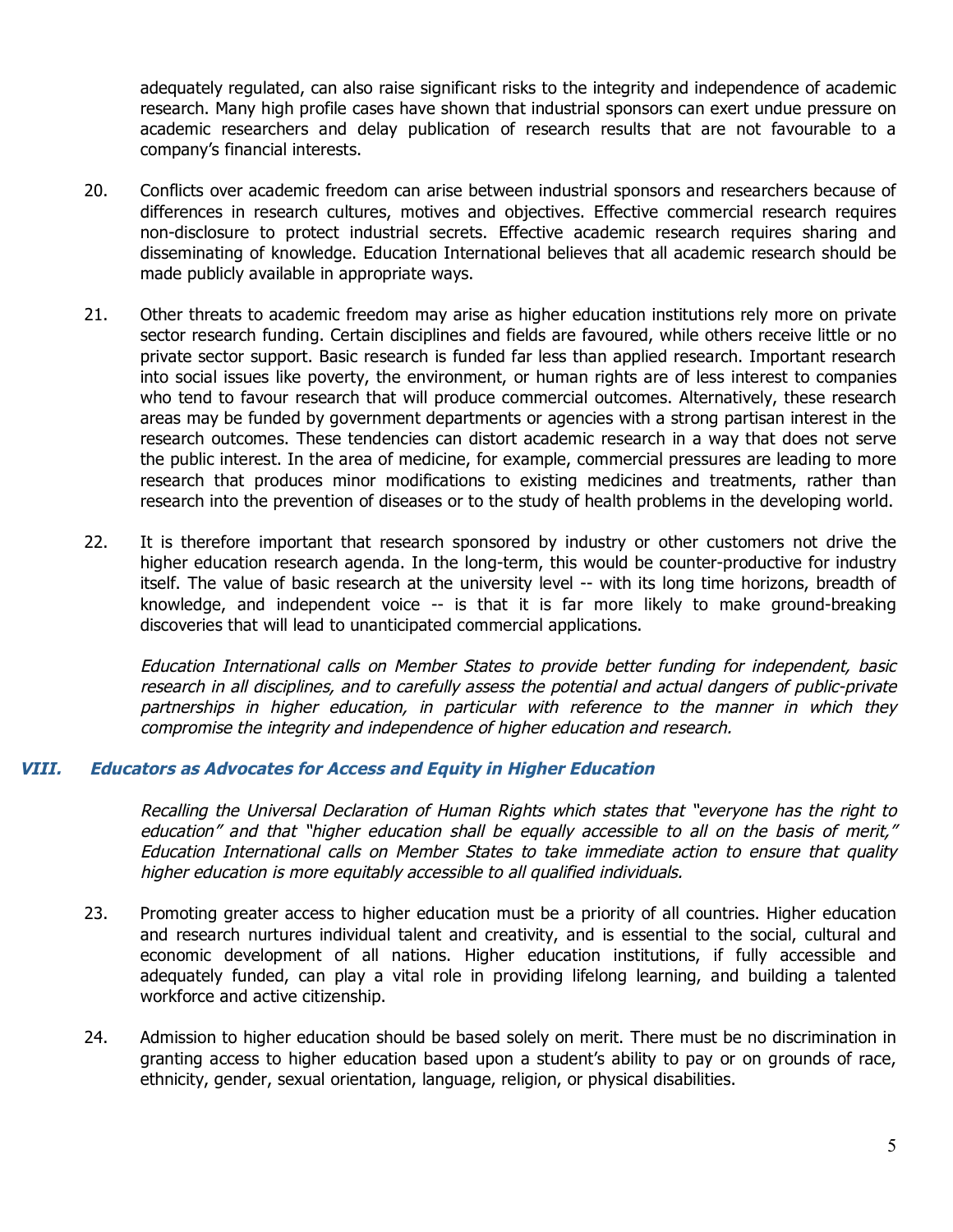adequately regulated, can also raise significant risks to the integrity and independence of academic research. Many high profile cases have shown that industrial sponsors can exert undue pressure on academic researchers and delay publication of research results that are not favourable to a company's financial interests.

- 20. Conflicts over academic freedom can arise between industrial sponsors and researchers because of differences in research cultures, motives and objectives. Effective commercial research requires non-disclosure to protect industrial secrets. Effective academic research requires sharing and disseminating of knowledge. Education International believes that all academic research should be made publicly available in appropriate ways.
- 21. Other threats to academic freedom may arise as higher education institutions rely more on private sector research funding. Certain disciplines and fields are favoured, while others receive little or no private sector support. Basic research is funded far less than applied research. Important research into social issues like poverty, the environment, or human rights are of less interest to companies who tend to favour research that will produce commercial outcomes. Alternatively, these research areas may be funded by government departments or agencies with a strong partisan interest in the research outcomes. These tendencies can distort academic research in a way that does not serve the public interest. In the area of medicine, for example, commercial pressures are leading to more research that produces minor modifications to existing medicines and treatments, rather than research into the prevention of diseases or to the study of health problems in the developing world.
- 22. It is therefore important that research sponsored by industry or other customers not drive the higher education research agenda. In the long-term, this would be counter-productive for industry itself. The value of basic research at the university level -- with its long time horizons, breadth of knowledge, and independent voice -- is that it is far more likely to make ground-breaking discoveries that will lead to unanticipated commercial applications.

Education International calls on Member States to provide better funding for independent, basic research in all disciplines, and to carefully assess the potential and actual dangers of public-private partnerships in higher education, in particular with reference to the manner in which they compromise the integrity and independence of higher education and research.

# **VIII. Educators as Advocates for Access and Equity in Higher Education**

Recalling the Universal Declaration of Human Rights which states that "everyone has the right to education" and that "higher education shall be equally accessible to all on the basis of merit," Education International calls on Member States to take immediate action to ensure that quality higher education is more equitably accessible to all qualified individuals.

- 23. Promoting greater access to higher education must be a priority of all countries. Higher education and research nurtures individual talent and creativity, and is essential to the social, cultural and economic development of all nations. Higher education institutions, if fully accessible and adequately funded, can play a vital role in providing lifelong learning, and building a talented workforce and active citizenship.
- 24. Admission to higher education should be based solely on merit. There must be no discrimination in granting access to higher education based upon a student's ability to pay or on grounds of race, ethnicity, gender, sexual orientation, language, religion, or physical disabilities.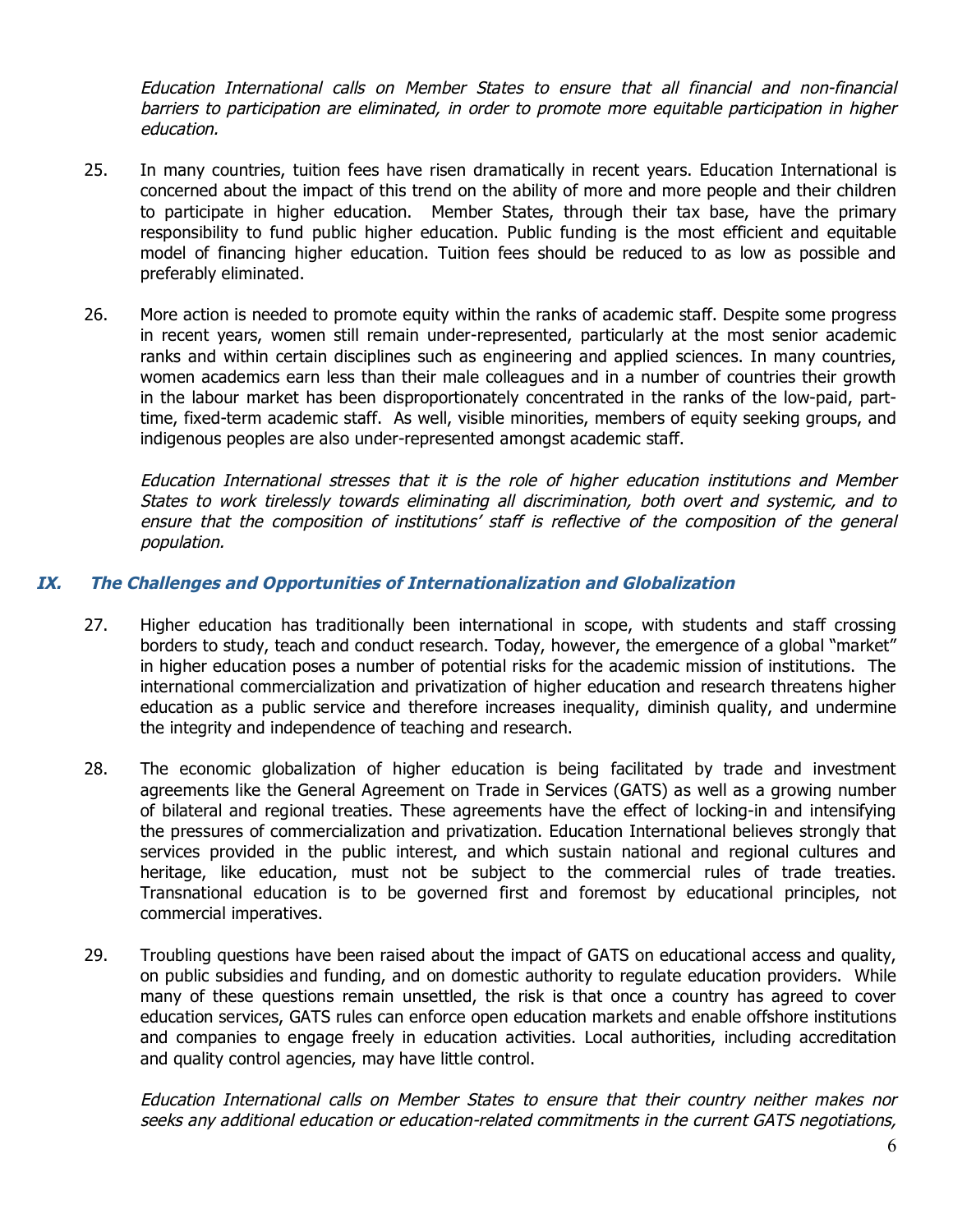Education International calls on Member States to ensure that all financial and non-financial barriers to participation are eliminated, in order to promote more equitable participation in higher education.

- 25. In many countries, tuition fees have risen dramatically in recent years. Education International is concerned about the impact of this trend on the ability of more and more people and their children to participate in higher education. Member States, through their tax base, have the primary responsibility to fund public higher education. Public funding is the most efficient and equitable model of financing higher education. Tuition fees should be reduced to as low as possible and preferably eliminated.
- 26. More action is needed to promote equity within the ranks of academic staff. Despite some progress in recent years, women still remain under-represented, particularly at the most senior academic ranks and within certain disciplines such as engineering and applied sciences. In many countries, women academics earn less than their male colleagues and in a number of countries their growth in the labour market has been disproportionately concentrated in the ranks of the low-paid, parttime, fixed-term academic staff. As well, visible minorities, members of equity seeking groups, and indigenous peoples are also under-represented amongst academic staff.

Education International stresses that it is the role of higher education institutions and Member States to work tirelessly towards eliminating all discrimination, both overt and systemic, and to ensure that the composition of institutions' staff is reflective of the composition of the general population.

# **IX. The Challenges and Opportunities of Internationalization and Globalization**

- 27. Higher education has traditionally been international in scope, with students and staff crossing borders to study, teach and conduct research. Today, however, the emergence of a global "market" in higher education poses a number of potential risks for the academic mission of institutions. The international commercialization and privatization of higher education and research threatens higher education as a public service and therefore increases inequality, diminish quality, and undermine the integrity and independence of teaching and research.
- 28. The economic globalization of higher education is being facilitated by trade and investment agreements like the General Agreement on Trade in Services (GATS) as well as a growing number of bilateral and regional treaties. These agreements have the effect of locking-in and intensifying the pressures of commercialization and privatization. Education International believes strongly that services provided in the public interest, and which sustain national and regional cultures and heritage, like education, must not be subject to the commercial rules of trade treaties. Transnational education is to be governed first and foremost by educational principles, not commercial imperatives.
- 29. Troubling questions have been raised about the impact of GATS on educational access and quality, on public subsidies and funding, and on domestic authority to regulate education providers. While many of these questions remain unsettled, the risk is that once a country has agreed to cover education services, GATS rules can enforce open education markets and enable offshore institutions and companies to engage freely in education activities. Local authorities, including accreditation and quality control agencies, may have little control.

Education International calls on Member States to ensure that their country neither makes nor seeks any additional education or education-related commitments in the current GATS negotiations,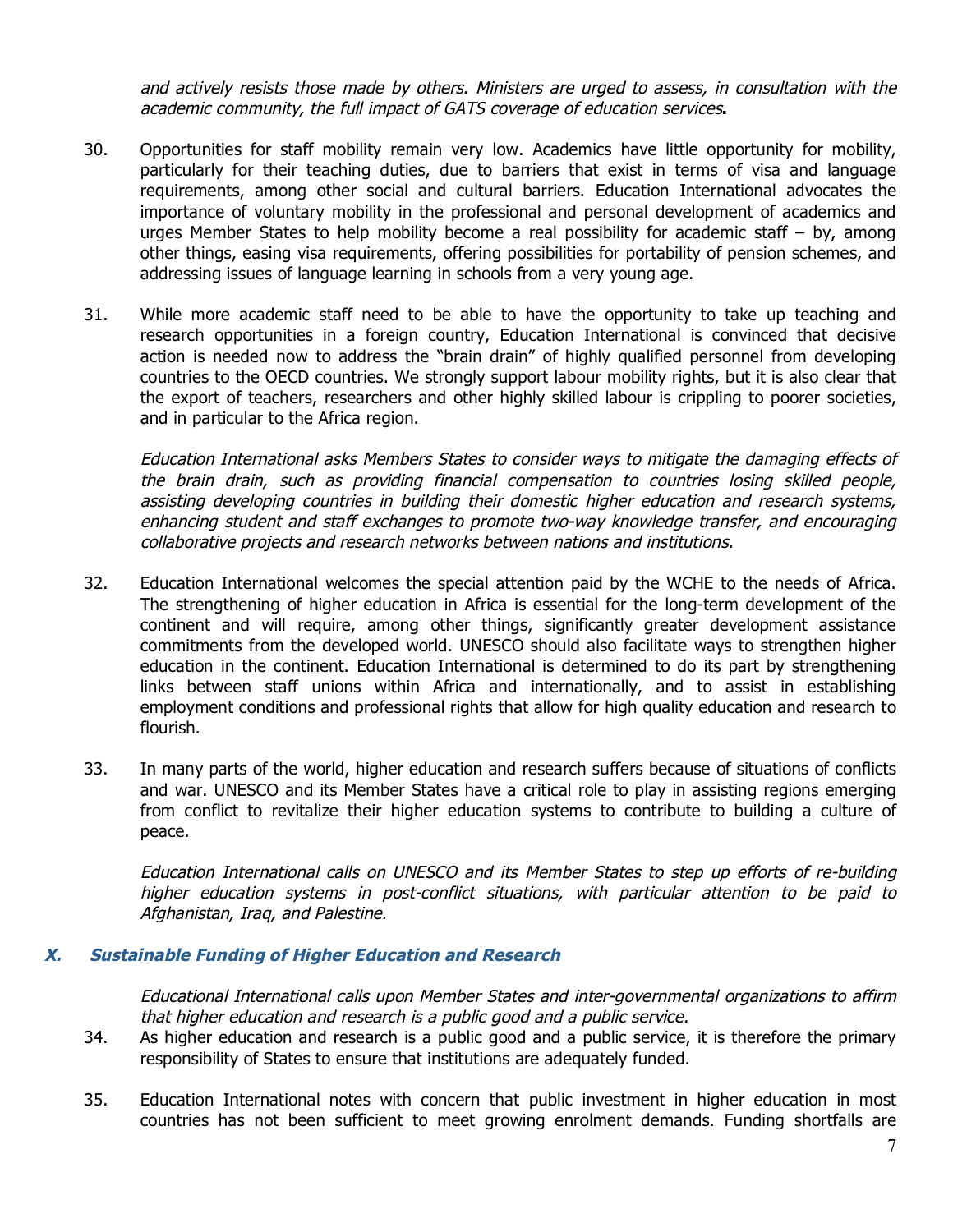and actively resists those made by others. Ministers are urged to assess, in consultation with the academic community, the full impact of GATS coverage of education services**.**

- 30. Opportunities for staff mobility remain very low. Academics have little opportunity for mobility, particularly for their teaching duties, due to barriers that exist in terms of visa and language requirements, among other social and cultural barriers. Education International advocates the importance of voluntary mobility in the professional and personal development of academics and urges Member States to help mobility become a real possibility for academic staff – by, among other things, easing visa requirements, offering possibilities for portability of pension schemes, and addressing issues of language learning in schools from a very young age.
- 31. While more academic staff need to be able to have the opportunity to take up teaching and research opportunities in a foreign country, Education International is convinced that decisive action is needed now to address the "brain drain" of highly qualified personnel from developing countries to the OECD countries. We strongly support labour mobility rights, but it is also clear that the export of teachers, researchers and other highly skilled labour is crippling to poorer societies, and in particular to the Africa region.

Education International asks Members States to consider ways to mitigate the damaging effects of the brain drain, such as providing financial compensation to countries losing skilled people, assisting developing countries in building their domestic higher education and research systems, enhancing student and staff exchanges to promote two-way knowledge transfer, and encouraging collaborative projects and research networks between nations and institutions.

- 32. Education International welcomes the special attention paid by the WCHE to the needs of Africa. The strengthening of higher education in Africa is essential for the long-term development of the continent and will require, among other things, significantly greater development assistance commitments from the developed world. UNESCO should also facilitate ways to strengthen higher education in the continent. Education International is determined to do its part by strengthening links between staff unions within Africa and internationally, and to assist in establishing employment conditions and professional rights that allow for high quality education and research to flourish.
- 33. In many parts of the world, higher education and research suffers because of situations of conflicts and war. UNESCO and its Member States have a critical role to play in assisting regions emerging from conflict to revitalize their higher education systems to contribute to building a culture of peace.

Education International calls on UNESCO and its Member States to step up efforts of re-building higher education systems in post-conflict situations, with particular attention to be paid to Afghanistan, Iraq, and Palestine.

## **X. Sustainable Funding of Higher Education and Research**

Educational International calls upon Member States and inter-governmental organizations to affirm that higher education and research is <sup>a</sup> public good and <sup>a</sup> public service.

- 34. As higher education and research is a public good and a public service, it is therefore the primary responsibility of States to ensure that institutions are adequately funded.
- 35. Education International notes with concern that public investment in higher education in most countries has not been sufficient to meet growing enrolment demands. Funding shortfalls are